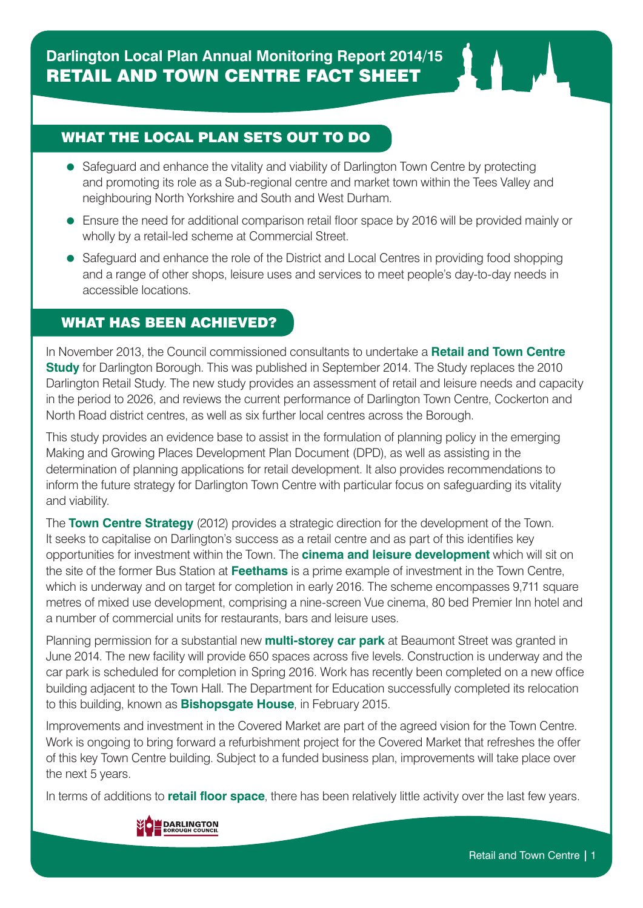## WHAT THE LOCAL PLAN SETS OUT TO DO

- Safeguard and enhance the vitality and viability of Darlington Town Centre by protecting and promoting its role as a Sub-regional centre and market town within the Tees Valley and neighbouring North Yorkshire and South and West Durham.
- Ensure the need for additional comparison retail floor space by 2016 will be provided mainly or wholly by a retail-led scheme at Commercial Street.
- Safeguard and enhance the role of the District and Local Centres in providing food shopping and a range of other shops, leisure uses and services to meet people's day-to-day needs in accessible locations.

### WHAT HAS BEEN ACHIEVED?

In November 2013, the Council commissioned consultants to undertake a **Retail and Town Centre Study** for Darlington Borough. This was published in September 2014. The Study replaces the 2010 Darlington Retail Study. The new study provides an assessment of retail and leisure needs and capacity in the period to 2026, and reviews the current performance of Darlington Town Centre, Cockerton and North Road district centres, as well as six further local centres across the Borough.

This study provides an evidence base to assist in the formulation of planning policy in the emerging Making and Growing Places Development Plan Document (DPD), as well as assisting in the determination of planning applications for retail development. It also provides recommendations to inform the future strategy for Darlington Town Centre with particular focus on safeguarding its vitality and viability.

The **Town Centre Strategy** (2012) provides a strategic direction for the development of the Town. It seeks to capitalise on Darlington's success as a retail centre and as part of this identifies key opportunities for investment within the Town. The **cinema and leisure development** which will sit on the site of the former Bus Station at **Feethams** is a prime example of investment in the Town Centre, which is underway and on target for completion in early 2016. The scheme encompasses 9,711 square metres of mixed use development, comprising a nine-screen Vue cinema, 80 bed Premier Inn hotel and a number of commercial units for restaurants, bars and leisure uses.

Planning permission for a substantial new **multi-storey car park** at Beaumont Street was granted in June 2014. The new facility will provide 650 spaces across five levels. Construction is underway and the car park is scheduled for completion in Spring 2016. Work has recently been completed on a new office building adjacent to the Town Hall. The Department for Education successfully completed its relocation to this building, known as **Bishopsgate House**, in February 2015.

Improvements and investment in the Covered Market are part of the agreed vision for the Town Centre. Work is ongoing to bring forward a refurbishment project for the Covered Market that refreshes the offer of this key Town Centre building. Subject to a funded business plan, improvements will take place over the next 5 years.

In terms of additions to **retail floor space**, there has been relatively little activity over the last few years.

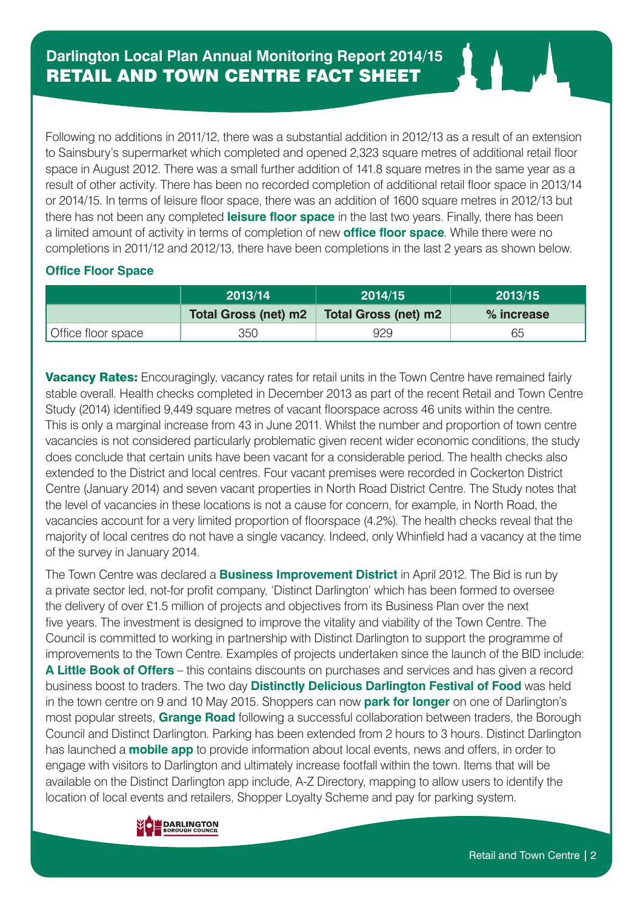Following no additions in 2011/12, there was a substantial addition in 2012/13 as a result of an extension to Sainsbury's supermarket which completed and opened 2,323 square metres of additional retail floor space in August 2012. There was a small further addition of 141.8 square metres in the same year as a result of other activity. There has been no recorded completion of additional retail floor space in 2013/14 or 2014/15. In terms of leisure floor space, there was an addition of 1600 square metres in 2012/13 but there has not been any completed **leisure floor space** in the last two years. Finally, there has been a limited amount of activity in terms of completion of new **office floor space**. While there were no completions in 2011/12 and 2012/13, there have been completions in the last 2 years as shown below.

#### **Office Floor Space**

|                    | 2013/14                     | 2014/15              | 2013/15    |
|--------------------|-----------------------------|----------------------|------------|
|                    | <b>Total Gross (net) m2</b> | Total Gross (net) m2 | % increase |
| Office floor space | 350                         | 929                  | 65         |

**Vacancy Rates:** Encouragingly, vacancy rates for retail units in the Town Centre have remained fairly stable overall. Health checks completed in December 2013 as part of the recent Retail and Town Centre Study (2014) identified 9,449 square metres of vacant floorspace across 46 units within the centre. This is only a marginal increase from 43 in June 2011. Whilst the number and proportion of town centre vacancies is not considered particularly problematic given recent wider economic conditions, the study does conclude that certain units have been vacant for a considerable period. The health checks also extended to the District and local centres. Four vacant premises were recorded in Cockerton District Centre (January 2014) and seven vacant properties in North Road District Centre. The Study notes that the level of vacancies in these locations is not a cause for concern, for example, in North Road, the vacancies account for a very limited proportion of floorspace (4.2%). The health checks reveal that the majority of local centres do not have a single vacancy. Indeed, only Whinfield had a vacancy at the time of the survey in January 2014.

The Town Centre was declared a **Business Improvement District** in April 2012. The Bid is run by a private sector led, not-for profit company, 'Distinct Darlington' which has been formed to oversee the delivery of over £1.5 million of projects and objectives from its Business Plan over the next five years. The investment is designed to improve the vitality and viability of the Town Centre. The Council is committed to working in partnership with Distinct Darlington to support the programme of improvements to the Town Centre. Examples of projects undertaken since the launch of the BID include: **A Little Book of Offers** – this contains discounts on purchases and services and has given a record business boost to traders. The two day **Distinctly Delicious Darlington Festival of Food** was held in the town centre on 9 and 10 May 2015. Shoppers can now **park for longer** on one of Darlington's most popular streets, **Grange Road** following a successful collaboration between traders, the Borough Council and Distinct Darlington. Parking has been extended from 2 hours to 3 hours. Distinct Darlington has launched a **mobile app** to provide information about local events, news and offers, in order to engage with visitors to Darlington and ultimately increase footfall within the town. Items that will be available on the Distinct Darlington app include, A-Z Directory, mapping to allow users to identify the location of local events and retailers, Shopper Loyalty Scheme and pay for parking system.